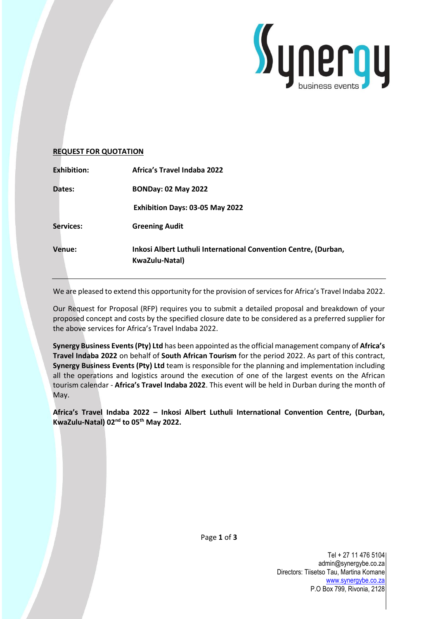

### **REQUEST FOR QUOTATION**

| <b>Exhibition:</b> | Africa's Travel Indaba 2022                                                       |
|--------------------|-----------------------------------------------------------------------------------|
| Dates:             | <b>BONDay: 02 May 2022</b>                                                        |
|                    | Exhibition Days: 03-05 May 2022                                                   |
| Services:          | <b>Greening Audit</b>                                                             |
| <b>Venue:</b>      | Inkosi Albert Luthuli International Convention Centre, (Durban,<br>KwaZulu-Natal) |

We are pleased to extend this opportunity for the provision of services for Africa's Travel Indaba 2022.

Our Request for Proposal (RFP) requires you to submit a detailed proposal and breakdown of your proposed concept and costs by the specified closure date to be considered as a preferred supplier for the above services for Africa's Travel Indaba 2022.

**Synergy Business Events (Pty) Ltd** has been appointed as the official management company of **Africa's Travel Indaba 2022** on behalf of **South African Tourism** for the period 2022. As part of this contract, **Synergy Business Events (Pty) Ltd** team is responsible for the planning and implementation including all the operations and logistics around the execution of one of the largest events on the African tourism calendar - **Africa's Travel Indaba 2022**. This event will be held in Durban during the month of May.

**Africa's Travel Indaba 2022 – Inkosi Albert Luthuli International Convention Centre, (Durban, KwaZulu-Natal) 02nd to 05th May 2022.**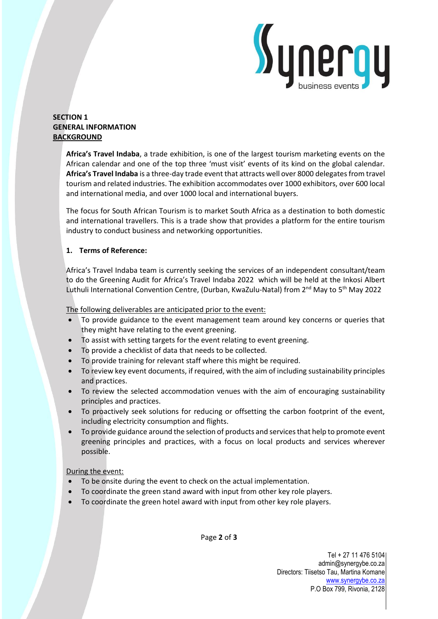

# **SECTION 1 GENERAL INFORMATION BACKGROUND**

**Africa's Travel Indaba**, a trade exhibition, is one of the largest tourism marketing events on the African calendar and one of the top three 'must visit' events of its kind on the global calendar. **Africa's Travel Indaba** is a three-day trade event that attracts well over 8000 delegates from travel tourism and related industries. The exhibition accommodates over 1000 exhibitors, over 600 local and international media, and over 1000 local and international buyers.

The focus for South African Tourism is to market South Africa as a destination to both domestic and international travellers. This is a trade show that provides a platform for the entire tourism industry to conduct business and networking opportunities.

# **1. Terms of Reference:**

Africa's Travel Indaba team is currently seeking the services of an independent consultant/team to do the Greening Audit for Africa's Travel Indaba 2022 which will be held at the Inkosi Albert Luthuli International Convention Centre, (Durban, KwaZulu-Natal) from 2<sup>nd</sup> May to 5<sup>th</sup> May 2022

### The following deliverables are anticipated prior to the event:

- To provide guidance to the event management team around key concerns or queries that they might have relating to the event greening.
- To assist with setting targets for the event relating to event greening.
- To provide a checklist of data that needs to be collected.
- To provide training for relevant staff where this might be required.
- To review key event documents, if required, with the aim of including sustainability principles and practices.
- To review the selected accommodation venues with the aim of encouraging sustainability principles and practices.
- To proactively seek solutions for reducing or offsetting the carbon footprint of the event, including electricity consumption and flights.
- To provide guidance around the selection of products and services that help to promote event greening principles and practices, with a focus on local products and services wherever possible.

# During the event:

- To be onsite during the event to check on the actual implementation.
- To coordinate the green stand award with input from other key role players.
- To coordinate the green hotel award with input from other key role players.

Page **2** of **3**